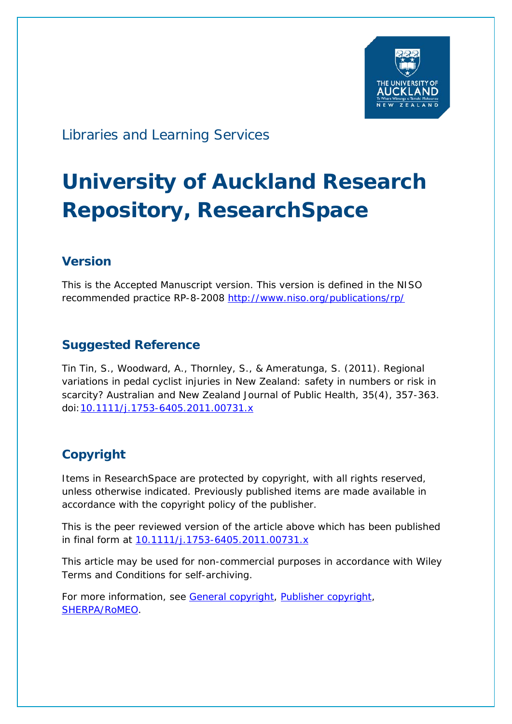

# Libraries and Learning Services

# **University of Auckland Research Repository, ResearchSpace**

## **Version**

This is the Accepted Manuscript version. This version is defined in the NISO recommended practice RP-8-2008<http://www.niso.org/publications/rp/>

### **Suggested Reference**

Tin Tin, S., Woodward, A., Thornley, S., & Ameratunga, S. (2011). Regional variations in pedal cyclist injuries in New Zealand: safety in numbers or risk in scarcity? *Australian and New Zealand Journal of Public Health*, *35*(4), 357-363. doi[:10.1111/j.1753-6405.2011.00731.x](http://dx.doi.org/10.1111/j.1753-6405.2011.00731.x)

## **Copyright**

Items in ResearchSpace are protected by copyright, with all rights reserved, unless otherwise indicated. Previously published items are made available in accordance with the copyright policy of the publisher.

This is the peer reviewed version of the article above which has been published in final form at [10.1111/j.1753-6405.2011.00731.x](http://dx.doi.org/10.1111/j.1753-6405.2011.00731.x)

This article may be used for non-commercial purposes in accordance with Wiley Terms and Conditions for self-archiving.

For more information, see [General copyright,](http://www.library.auckland.ac.nz/services/research-support/depositing-theses/copyright) [Publisher copyright,](https://authorservices.wiley.com/author-resources/Journal-Authors/licensing-and-open-access/open-access/self-archiving.html) [SHERPA/RoMEO.](http://www.sherpa.ac.uk/romeo/issn/1326-0200/)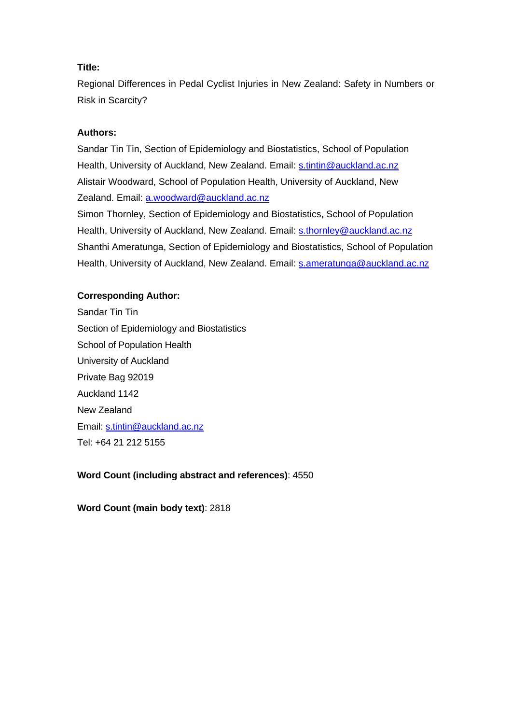#### **Title:**

Regional Differences in Pedal Cyclist Injuries in New Zealand: Safety in Numbers or Risk in Scarcity?

#### **Authors:**

Sandar Tin Tin, Section of Epidemiology and Biostatistics, School of Population Health, University of Auckland, New Zealand. Email: [s.tintin@auckland.ac.nz](mailto:s.tintin@auckland.ac.nz)  Alistair Woodward, School of Population Health, University of Auckland, New Zealand. Email: [a.woodward@auckland.ac.nz](mailto:a.woodward@auckland.ac.nz)

Simon Thornley, Section of Epidemiology and Biostatistics, School of Population Health, University of Auckland, New Zealand. Email: [s.thornley@auckland.ac.nz](mailto:s.thornley@auckland.ac.nz)  Shanthi Ameratunga, Section of Epidemiology and Biostatistics, School of Population Health, University of Auckland, New Zealand. Email: [s.ameratunga@auckland.ac.nz](mailto:s.ameratunga@auckland.ac.nz)

#### **Corresponding Author:**

Sandar Tin Tin Section of Epidemiology and Biostatistics School of Population Health University of Auckland Private Bag 92019 Auckland 1142 New Zealand Email: [s.tintin@auckland.ac.nz](mailto:s.tintin@auckland.ac.nz) Tel: +64 21 212 5155

#### **Word Count (including abstract and references)**: 4550

**Word Count (main body text)**: 2818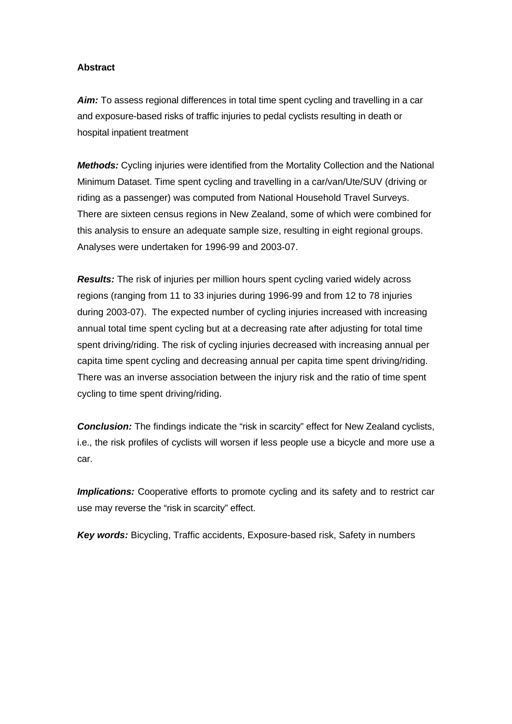#### **Abstract**

Aim: To assess regional differences in total time spent cycling and travelling in a car and exposure-based risks of traffic injuries to pedal cyclists resulting in death or hospital inpatient treatment

*Methods:* Cycling injuries were identified from the Mortality Collection and the National Minimum Dataset. Time spent cycling and travelling in a car/van/Ute/SUV (driving or riding as a passenger) was computed from National Household Travel Surveys. There are sixteen census regions in New Zealand, some of which were combined for this analysis to ensure an adequate sample size, resulting in eight regional groups. Analyses were undertaken for 1996-99 and 2003-07.

*Results:* The risk of injuries per million hours spent cycling varied widely across regions (ranging from 11 to 33 injuries during 1996-99 and from 12 to 78 injuries during 2003-07). The expected number of cycling injuries increased with increasing annual total time spent cycling but at a decreasing rate after adjusting for total time spent driving/riding. The risk of cycling injuries decreased with increasing annual per capita time spent cycling and decreasing annual per capita time spent driving/riding. There was an inverse association between the injury risk and the ratio of time spent cycling to time spent driving/riding.

**Conclusion:** The findings indicate the "risk in scarcity" effect for New Zealand cyclists, i.e., the risk profiles of cyclists will worsen if less people use a bicycle and more use a car.

*Implications:* Cooperative efforts to promote cycling and its safety and to restrict car use may reverse the "risk in scarcity" effect.

*Key words:* Bicycling, Traffic accidents, Exposure-based risk, Safety in numbers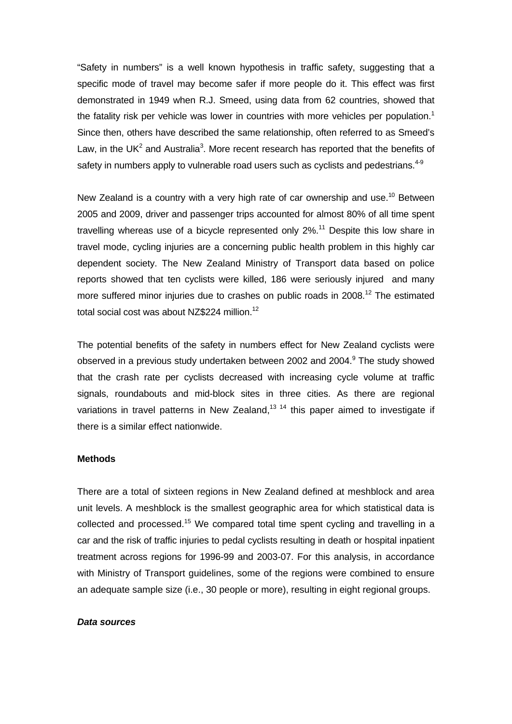"Safety in numbers" is a well known hypothesis in traffic safety, suggesting that a specific mode of travel may become safer if more people do it. This effect was first demonstrated in 1949 when R.J. Smeed, using data from 62 countries, showed that the fatality risk per vehicle was lower in countries with more vehicles per population.<sup>1</sup> Since then, others have described the same relationship, often referred to as Smeed's Law, in the UK<sup>2</sup> and Australia<sup>3</sup>. More recent research has reported that the benefits of safety in numbers apply to vulnerable road users such as cyclists and pedestrians.<sup>4-9</sup>

New Zealand is a country with a very high rate of car ownership and use.<sup>10</sup> Between 2005 and 2009, driver and passenger trips accounted for almost 80% of all time spent travelling whereas use of a bicycle represented only  $2\%$ .<sup>11</sup> Despite this low share in travel mode, cycling injuries are a concerning public health problem in this highly car dependent society. The New Zealand Ministry of Transport data based on police reports showed that ten cyclists were killed, 186 were seriously injured and many more suffered minor injuries due to crashes on public roads in 2008.<sup>12</sup> The estimated total social cost was about NZ\$224 million.<sup>12</sup>

The potential benefits of the safety in numbers effect for New Zealand cyclists were observed in a previous study undertaken between 2002 and 2004.<sup>9</sup> The study showed that the crash rate per cyclists decreased with increasing cycle volume at traffic signals, roundabouts and mid-block sites in three cities. As there are regional variations in travel patterns in New Zealand.<sup>13 14</sup> this paper aimed to investigate if there is a similar effect nationwide.

#### **Methods**

There are a total of sixteen regions in New Zealand defined at meshblock and area unit levels. A meshblock is the smallest geographic area for which statistical data is collected and processed.<sup>15</sup> We compared total time spent cycling and travelling in a car and the risk of traffic injuries to pedal cyclists resulting in death or hospital inpatient treatment across regions for 1996-99 and 2003-07. For this analysis, in accordance with Ministry of Transport guidelines, some of the regions were combined to ensure an adequate sample size (i.e., 30 people or more), resulting in eight regional groups.

#### *Data sources*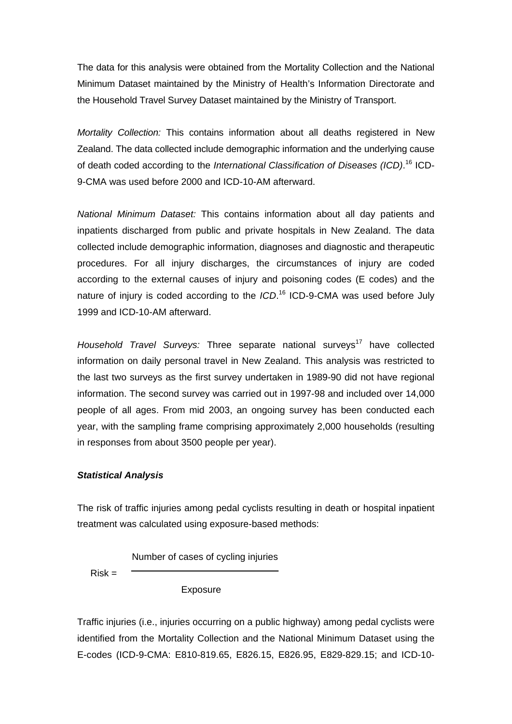The data for this analysis were obtained from the Mortality Collection and the National Minimum Dataset maintained by the Ministry of Health's Information Directorate and the Household Travel Survey Dataset maintained by the Ministry of Transport.

*Mortality Collection:* This contains information about all deaths registered in New Zealand. The data collected include demographic information and the underlying cause of death coded according to the *International Classification of Diseases (ICD)*. 16 ICD-9-CMA was used before 2000 and ICD-10-AM afterward.

*National Minimum Dataset:* This contains information about all day patients and inpatients discharged from public and private hospitals in New Zealand. The data collected include demographic information, diagnoses and diagnostic and therapeutic procedures. For all injury discharges, the circumstances of injury are coded according to the external causes of injury and poisoning codes (E codes) and the nature of injury is coded according to the *ICD*. 16 ICD-9-CMA was used before July 1999 and ICD-10-AM afterward.

Household Travel Surveys: Three separate national surveys<sup>17</sup> have collected information on daily personal travel in New Zealand. This analysis was restricted to the last two surveys as the first survey undertaken in 1989-90 did not have regional information. The second survey was carried out in 1997-98 and included over 14,000 people of all ages. From mid 2003, an ongoing survey has been conducted each year, with the sampling frame comprising approximately 2,000 households (resulting in responses from about 3500 people per year).

#### *Statistical Analysis*

The risk of traffic injuries among pedal cyclists resulting in death or hospital inpatient treatment was calculated using exposure-based methods:

Number of cases of cycling injuries

 $Risk =$ 

Exposure

Traffic injuries (i.e., injuries occurring on a public highway) among pedal cyclists were identified from the Mortality Collection and the National Minimum Dataset using the E-codes (ICD-9-CMA: E810-819.65, E826.15, E826.95, E829-829.15; and ICD-10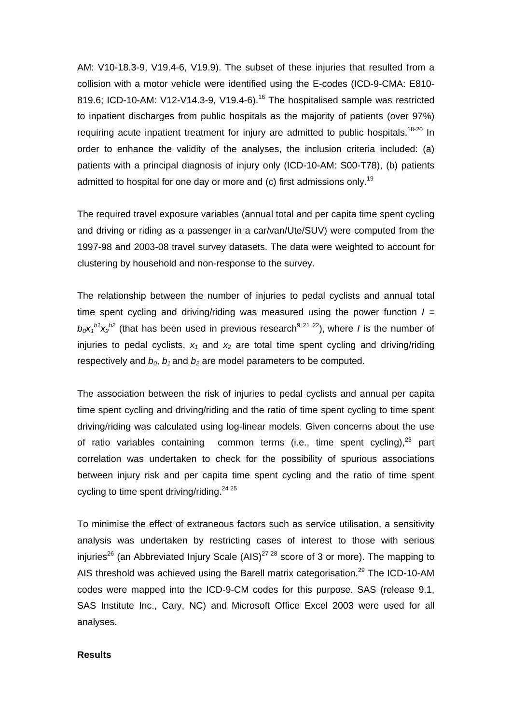AM: V10-18.3-9, V19.4-6, V19.9). The subset of these injuries that resulted from a collision with a motor vehicle were identified using the E-codes (ICD-9-CMA: E810- 819.6; ICD-10-AM: V12-V14.3-9, V19.4-6).<sup>16</sup> The hospitalised sample was restricted to inpatient discharges from public hospitals as the majority of patients (over 97%) requiring acute inpatient treatment for injury are admitted to public hospitals.<sup>18-20</sup> In order to enhance the validity of the analyses, the inclusion criteria included: (a) patients with a principal diagnosis of injury only (ICD-10-AM: S00-T78), (b) patients admitted to hospital for one day or more and (c) first admissions only.<sup>19</sup>

The required travel exposure variables (annual total and per capita time spent cycling and driving or riding as a passenger in a car/van/Ute/SUV) were computed from the 1997-98 and 2003-08 travel survey datasets. The data were weighted to account for clustering by household and non-response to the survey.

The relationship between the number of injuries to pedal cyclists and annual total time spent cycling and driving/riding was measured using the power function *I =*   $b_0x_1^{b1}x_2^{b2}$  (that has been used in previous research<sup>9 21 22</sup>), where *I* is the number of injuries to pedal cyclists,  $x_1$  and  $x_2$  are total time spent cycling and driving/riding respectively and  $b_0$ ,  $b_1$  and  $b_2$  are model parameters to be computed.

The association between the risk of injuries to pedal cyclists and annual per capita time spent cycling and driving/riding and the ratio of time spent cycling to time spent driving/riding was calculated using log-linear models. Given concerns about the use of ratio variables containing common terms (i.e., time spent cycling), $^{23}$  part correlation was undertaken to check for the possibility of spurious associations between injury risk and per capita time spent cycling and the ratio of time spent cycling to time spent driving/riding. $2425$ 

To minimise the effect of extraneous factors such as service utilisation, a sensitivity analysis was undertaken by restricting cases of interest to those with serious injuries<sup>26</sup> (an Abbreviated Injury Scale  $(AB)^{27,28}$  score of 3 or more). The mapping to AIS threshold was achieved using the Barell matrix categorisation.<sup>29</sup> The ICD-10-AM codes were mapped into the ICD-9-CM codes for this purpose. SAS (release 9.1, SAS Institute Inc., Cary, NC) and Microsoft Office Excel 2003 were used for all analyses.

#### **Results**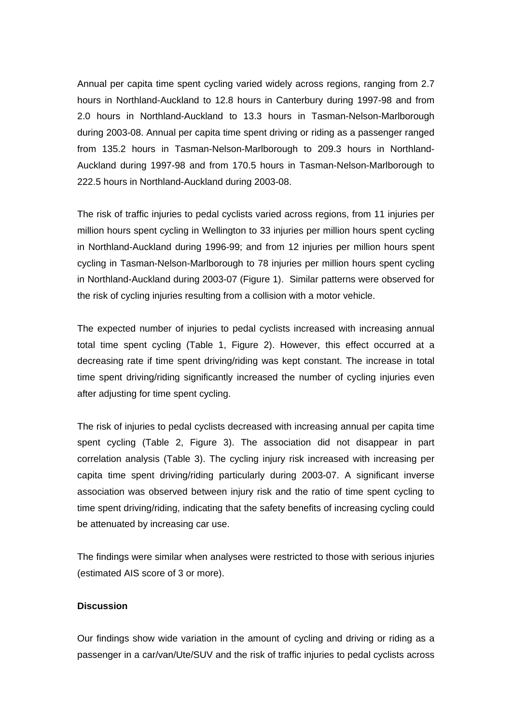Annual per capita time spent cycling varied widely across regions, ranging from 2.7 hours in Northland-Auckland to 12.8 hours in Canterbury during 1997-98 and from 2.0 hours in Northland-Auckland to 13.3 hours in Tasman-Nelson-Marlborough during 2003-08. Annual per capita time spent driving or riding as a passenger ranged from 135.2 hours in Tasman-Nelson-Marlborough to 209.3 hours in Northland-Auckland during 1997-98 and from 170.5 hours in Tasman-Nelson-Marlborough to 222.5 hours in Northland-Auckland during 2003-08.

The risk of traffic injuries to pedal cyclists varied across regions, from 11 injuries per million hours spent cycling in Wellington to 33 injuries per million hours spent cycling in Northland-Auckland during 1996-99; and from 12 injuries per million hours spent cycling in Tasman-Nelson-Marlborough to 78 injuries per million hours spent cycling in Northland-Auckland during 2003-07 (Figure 1). Similar patterns were observed for the risk of cycling injuries resulting from a collision with a motor vehicle.

The expected number of injuries to pedal cyclists increased with increasing annual total time spent cycling (Table 1, Figure 2). However, this effect occurred at a decreasing rate if time spent driving/riding was kept constant. The increase in total time spent driving/riding significantly increased the number of cycling injuries even after adjusting for time spent cycling.

The risk of injuries to pedal cyclists decreased with increasing annual per capita time spent cycling (Table 2, Figure 3). The association did not disappear in part correlation analysis (Table 3). The cycling injury risk increased with increasing per capita time spent driving/riding particularly during 2003-07. A significant inverse association was observed between injury risk and the ratio of time spent cycling to time spent driving/riding, indicating that the safety benefits of increasing cycling could be attenuated by increasing car use.

The findings were similar when analyses were restricted to those with serious injuries (estimated AIS score of 3 or more).

#### **Discussion**

Our findings show wide variation in the amount of cycling and driving or riding as a passenger in a car/van/Ute/SUV and the risk of traffic injuries to pedal cyclists across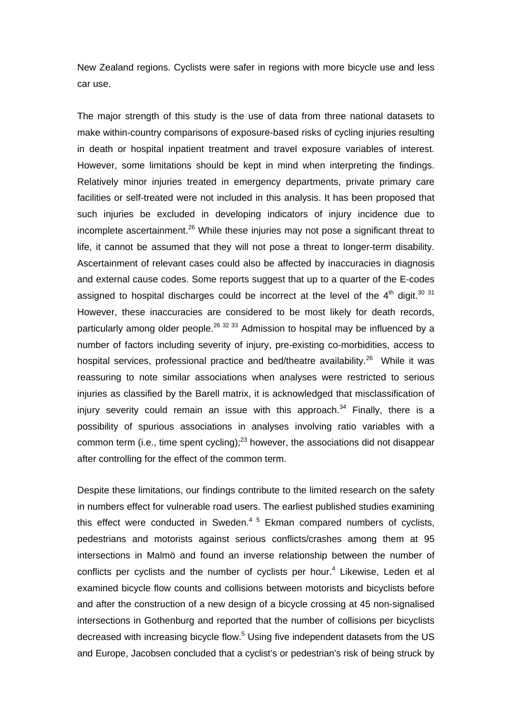New Zealand regions. Cyclists were safer in regions with more bicycle use and less car use.

The major strength of this study is the use of data from three national datasets to make within-country comparisons of exposure-based risks of cycling injuries resulting in death or hospital inpatient treatment and travel exposure variables of interest. However, some limitations should be kept in mind when interpreting the findings. Relatively minor injuries treated in emergency departments, private primary care facilities or self-treated were not included in this analysis. It has been proposed that such injuries be excluded in developing indicators of injury incidence due to incomplete ascertainment.<sup>26</sup> While these injuries may not pose a significant threat to life, it cannot be assumed that they will not pose a threat to longer-term disability. Ascertainment of relevant cases could also be affected by inaccuracies in diagnosis and external cause codes. Some reports suggest that up to a quarter of the E-codes assigned to hospital discharges could be incorrect at the level of the  $4<sup>th</sup>$  digit.<sup>30 31</sup> However, these inaccuracies are considered to be most likely for death records, particularly among older people.<sup>26 32 33</sup> Admission to hospital may be influenced by a number of factors including severity of injury, pre-existing co-morbidities, access to hospital services, professional practice and bed/theatre availability.<sup>26</sup> While it was reassuring to note similar associations when analyses were restricted to serious injuries as classified by the Barell matrix, it is acknowledged that misclassification of injury severity could remain an issue with this approach. $34$  Finally, there is a possibility of spurious associations in analyses involving ratio variables with a common term (i.e., time spent cycling); $^{23}$  however, the associations did not disappear after controlling for the effect of the common term.

Despite these limitations, our findings contribute to the limited research on the safety in numbers effect for vulnerable road users. The earliest published studies examining this effect were conducted in Sweden.<sup>45</sup> Ekman compared numbers of cyclists, pedestrians and motorists against serious conflicts/crashes among them at 95 intersections in Malmö and found an inverse relationship between the number of conflicts per cyclists and the number of cyclists per hour.<sup>4</sup> Likewise, Leden et al examined bicycle flow counts and collisions between motorists and bicyclists before and after the construction of a new design of a bicycle crossing at 45 non-signalised intersections in Gothenburg and reported that the number of collisions per bicyclists decreased with increasing bicycle flow.<sup>5</sup> Using five independent datasets from the US and Europe, Jacobsen concluded that a cyclist's or pedestrian's risk of being struck by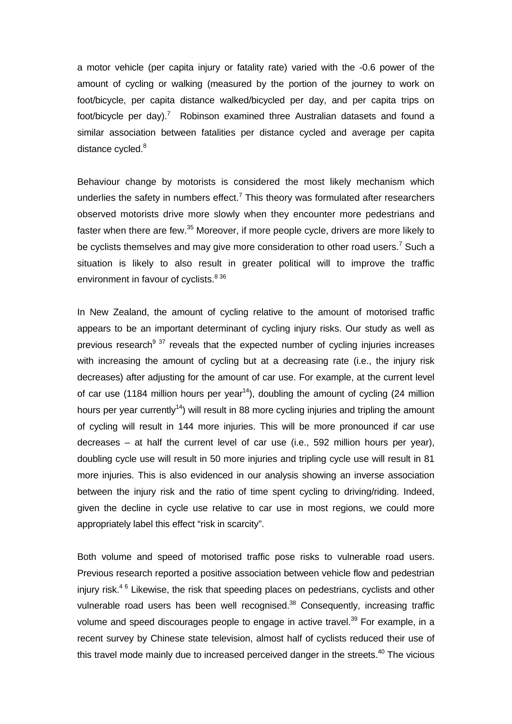a motor vehicle (per capita injury or fatality rate) varied with the -0.6 power of the amount of cycling or walking (measured by the portion of the journey to work on foot/bicycle, per capita distance walked/bicycled per day, and per capita trips on foot/bicycle per day).<sup>7</sup> Robinson examined three Australian datasets and found a similar association between fatalities per distance cycled and average per capita distance cycled.<sup>8</sup>

Behaviour change by motorists is considered the most likely mechanism which underlies the safety in numbers effect.<sup>7</sup> This theory was formulated after researchers observed motorists drive more slowly when they encounter more pedestrians and faster when there are few.<sup>35</sup> Moreover, if more people cycle, drivers are more likely to be cyclists themselves and may give more consideration to other road users.<sup>7</sup> Such a situation is likely to also result in greater political will to improve the traffic environment in favour of cyclists.<sup>836</sup>

In New Zealand, the amount of cycling relative to the amount of motorised traffic appears to be an important determinant of cycling injury risks. Our study as well as previous research<sup>9 37</sup> reveals that the expected number of cycling injuries increases with increasing the amount of cycling but at a decreasing rate (i.e., the injury risk decreases) after adjusting for the amount of car use. For example, at the current level of car use (1184 million hours per year<sup>14</sup>), doubling the amount of cycling (24 million hours per year currently<sup>14</sup>) will result in 88 more cycling injuries and tripling the amount of cycling will result in 144 more injuries. This will be more pronounced if car use decreases – at half the current level of car use (i.e., 592 million hours per year), doubling cycle use will result in 50 more injuries and tripling cycle use will result in 81 more injuries. This is also evidenced in our analysis showing an inverse association between the injury risk and the ratio of time spent cycling to driving/riding. Indeed, given the decline in cycle use relative to car use in most regions, we could more appropriately label this effect "risk in scarcity".

Both volume and speed of motorised traffic pose risks to vulnerable road users. Previous research reported a positive association between vehicle flow and pedestrian injury risk.<sup>46</sup> Likewise, the risk that speeding places on pedestrians, cyclists and other vulnerable road users has been well recognised.<sup>38</sup> Consequently, increasing traffic volume and speed discourages people to engage in active travel.<sup>39</sup> For example, in a recent survey by Chinese state television, almost half of cyclists reduced their use of this travel mode mainly due to increased perceived danger in the streets. $40$  The vicious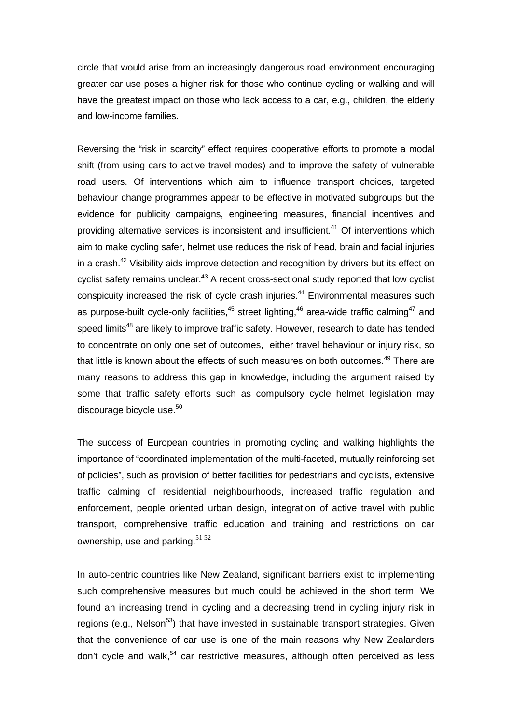circle that would arise from an increasingly dangerous road environment encouraging greater car use poses a higher risk for those who continue cycling or walking and will have the greatest impact on those who lack access to a car, e.g., children, the elderly and low-income families.

Reversing the "risk in scarcity" effect requires cooperative efforts to promote a modal shift (from using cars to active travel modes) and to improve the safety of vulnerable road users. Of interventions which aim to influence transport choices, targeted behaviour change programmes appear to be effective in motivated subgroups but the evidence for publicity campaigns, engineering measures, financial incentives and providing alternative services is inconsistent and insufficient.<sup>41</sup> Of interventions which aim to make cycling safer, helmet use reduces the risk of head, brain and facial injuries in a crash.<sup>42</sup> Visibility aids improve detection and recognition by drivers but its effect on cyclist safety remains unclear.<sup>43</sup> A recent cross-sectional study reported that low cyclist conspicuity increased the risk of cycle crash injuries.<sup>44</sup> Environmental measures such as purpose-built cycle-only facilities, $45$  street lighting, $46$  area-wide traffic calming  $47$  and speed limits<sup>48</sup> are likely to improve traffic safety. However, research to date has tended to concentrate on only one set of outcomes, either travel behaviour or injury risk, so that little is known about the effects of such measures on both outcomes.<sup>49</sup> There are many reasons to address this gap in knowledge, including the argument raised by some that traffic safety efforts such as compulsory cycle helmet legislation may discourage bicycle use.<sup>50</sup>

The success of European countries in promoting cycling and walking highlights the importance of "coordinated implementation of the multi-faceted, mutually reinforcing set of policies", such as provision of better facilities for pedestrians and cyclists, extensive traffic calming of residential neighbourhoods, increased traffic regulation and enforcement, people oriented urban design, integration of active travel with public transport, comprehensive traffic education and training and restrictions on car ownership, use and parking.<sup>51 52</sup>

In auto-centric countries like New Zealand, significant barriers exist to implementing such comprehensive measures but much could be achieved in the short term. We found an increasing trend in cycling and a decreasing trend in cycling injury risk in regions (e.g., Nelson<sup>53</sup>) that have invested in sustainable transport strategies. Given that the convenience of car use is one of the main reasons why New Zealanders don't cycle and walk, $54$  car restrictive measures, although often perceived as less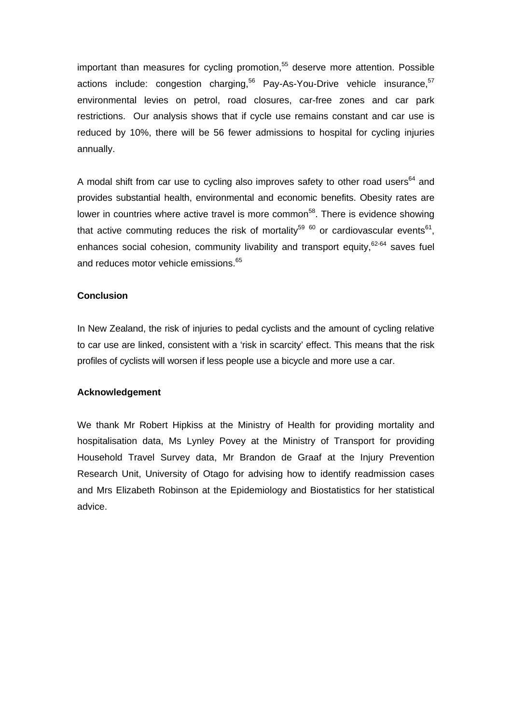important than measures for cycling promotion, $55$  deserve more attention. Possible actions include: congestion charging, $56$  Pay-As-You-Drive vehicle insurance,  $57$ environmental levies on petrol, road closures, car-free zones and car park restrictions. Our analysis shows that if cycle use remains constant and car use is reduced by 10%, there will be 56 fewer admissions to hospital for cycling injuries annually.

A modal shift from car use to cycling also improves safety to other road users<sup>64</sup> and provides substantial health, environmental and economic benefits. Obesity rates are lower in countries where active travel is more common<sup>58</sup>. There is evidence showing that active commuting reduces the risk of mortality<sup>59 60</sup> or cardiovascular events<sup>61</sup>, enhances social cohesion, community livability and transport equity,<sup>62-64</sup> saves fuel and reduces motor vehicle emissions.<sup>65</sup>

#### **Conclusion**

In New Zealand, the risk of injuries to pedal cyclists and the amount of cycling relative to car use are linked, consistent with a 'risk in scarcity' effect. This means that the risk profiles of cyclists will worsen if less people use a bicycle and more use a car.

#### **Acknowledgement**

We thank Mr Robert Hipkiss at the Ministry of Health for providing mortality and hospitalisation data, Ms Lynley Povey at the Ministry of Transport for providing Household Travel Survey data, Mr Brandon de Graaf at the Injury Prevention Research Unit, University of Otago for advising how to identify readmission cases and Mrs Elizabeth Robinson at the Epidemiology and Biostatistics for her statistical advice.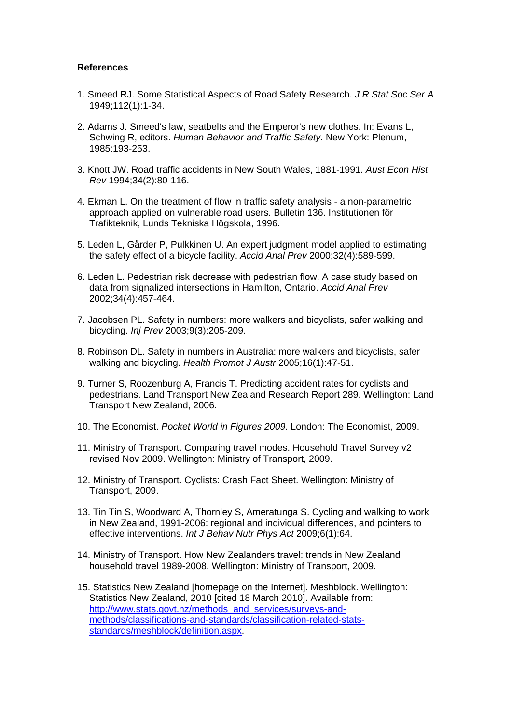#### **References**

- 1. Smeed RJ. Some Statistical Aspects of Road Safety Research. *J R Stat Soc Ser A* 1949;112(1):1-34.
- 2. Adams J. Smeed's law, seatbelts and the Emperor's new clothes. In: Evans L, Schwing R, editors. *Human Behavior and Traffic Safety*. New York: Plenum, 1985:193-253.
- 3. Knott JW. Road traffic accidents in New South Wales, 1881-1991. *Aust Econ Hist Rev* 1994;34(2):80-116.
- 4. Ekman L. On the treatment of flow in traffic safety analysis a non-parametric approach applied on vulnerable road users. Bulletin 136. Institutionen för Trafikteknik, Lunds Tekniska Högskola, 1996.
- 5. Leden L, Gårder P, Pulkkinen U. An expert judgment model applied to estimating the safety effect of a bicycle facility. *Accid Anal Prev* 2000;32(4):589-599.
- 6. Leden L. Pedestrian risk decrease with pedestrian flow. A case study based on data from signalized intersections in Hamilton, Ontario. *Accid Anal Prev* 2002;34(4):457-464.
- 7. Jacobsen PL. Safety in numbers: more walkers and bicyclists, safer walking and bicycling. *Inj Prev* 2003;9(3):205-209.
- 8. Robinson DL. Safety in numbers in Australia: more walkers and bicyclists, safer walking and bicycling. *Health Promot J Austr* 2005;16(1):47-51.
- 9. Turner S, Roozenburg A, Francis T. Predicting accident rates for cyclists and pedestrians. Land Transport New Zealand Research Report 289. Wellington: Land Transport New Zealand, 2006.
- 10. The Economist. *Pocket World in Figures 2009.* London: The Economist, 2009.
- 11. Ministry of Transport. Comparing travel modes. Household Travel Survey v2 revised Nov 2009. Wellington: Ministry of Transport, 2009.
- 12. Ministry of Transport. Cyclists: Crash Fact Sheet. Wellington: Ministry of Transport, 2009.
- 13. Tin Tin S, Woodward A, Thornley S, Ameratunga S. Cycling and walking to work in New Zealand, 1991-2006: regional and individual differences, and pointers to effective interventions. *Int J Behav Nutr Phys Act* 2009;6(1):64.
- 14. Ministry of Transport. How New Zealanders travel: trends in New Zealand household travel 1989-2008. Wellington: Ministry of Transport, 2009.
- 15. Statistics New Zealand [homepage on the Internet]. Meshblock. Wellington: Statistics New Zealand, 2010 [cited 18 March 2010]. Available from: [http://www.stats.govt.nz/methods\\_and\\_services/surveys-and](http://www.stats.govt.nz/methods_and_services/surveys-and-methods/classifications-and-standards/classification-related-stats-standards/meshblock/definition.aspx)[methods/classifications-and-standards/classification-related-stats](http://www.stats.govt.nz/methods_and_services/surveys-and-methods/classifications-and-standards/classification-related-stats-standards/meshblock/definition.aspx)[standards/meshblock/definition.aspx](http://www.stats.govt.nz/methods_and_services/surveys-and-methods/classifications-and-standards/classification-related-stats-standards/meshblock/definition.aspx).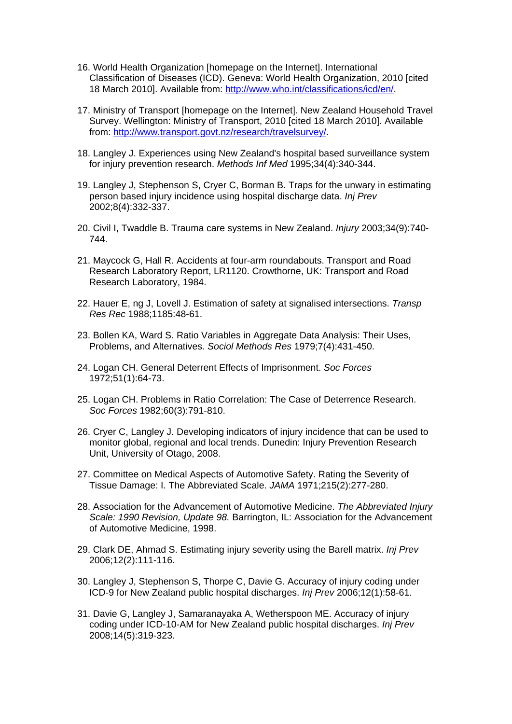- 16. World Health Organization [homepage on the Internet]. International Classification of Diseases (ICD). Geneva: World Health Organization, 2010 [cited 18 March 2010]. Available from: [http://www.who.int/classifications/icd/en/.](http://www.who.int/classifications/icd/en/)
- 17. Ministry of Transport [homepage on the Internet]. New Zealand Household Travel Survey. Wellington: Ministry of Transport, 2010 [cited 18 March 2010]. Available from: [http://www.transport.govt.nz/research/travelsurvey/.](http://www.transport.govt.nz/research/travelsurvey/)
- 18. Langley J. Experiences using New Zealand's hospital based surveillance system for injury prevention research. *Methods Inf Med* 1995;34(4):340-344.
- 19. Langley J, Stephenson S, Cryer C, Borman B. Traps for the unwary in estimating person based injury incidence using hospital discharge data. *Inj Prev* 2002;8(4):332-337.
- 20. Civil I, Twaddle B. Trauma care systems in New Zealand. *Injury* 2003;34(9):740- 744.
- 21. Maycock G, Hall R. Accidents at four-arm roundabouts. Transport and Road Research Laboratory Report, LR1120. Crowthorne, UK: Transport and Road Research Laboratory, 1984.
- 22. Hauer E, ng J, Lovell J. Estimation of safety at signalised intersections. *Transp Res Rec* 1988;1185:48-61.
- 23. Bollen KA, Ward S. Ratio Variables in Aggregate Data Analysis: Their Uses, Problems, and Alternatives. *Sociol Methods Res* 1979;7(4):431-450.
- 24. Logan CH. General Deterrent Effects of Imprisonment. *Soc Forces* 1972;51(1):64-73.
- 25. Logan CH. Problems in Ratio Correlation: The Case of Deterrence Research. *Soc Forces* 1982;60(3):791-810.
- 26. Cryer C, Langley J. Developing indicators of injury incidence that can be used to monitor global, regional and local trends. Dunedin: Injury Prevention Research Unit, University of Otago, 2008.
- 27. Committee on Medical Aspects of Automotive Safety. Rating the Severity of Tissue Damage: I. The Abbreviated Scale. *JAMA* 1971;215(2):277-280.
- 28. Association for the Advancement of Automotive Medicine. *The Abbreviated Injury Scale: 1990 Revision, Update 98.* Barrington, IL: Association for the Advancement of Automotive Medicine, 1998.
- 29. Clark DE, Ahmad S. Estimating injury severity using the Barell matrix. *Inj Prev* 2006;12(2):111-116.
- 30. Langley J, Stephenson S, Thorpe C, Davie G. Accuracy of injury coding under ICD-9 for New Zealand public hospital discharges. *Inj Prev* 2006;12(1):58-61.
- 31. Davie G, Langley J, Samaranayaka A, Wetherspoon ME. Accuracy of injury coding under ICD-10-AM for New Zealand public hospital discharges. *Inj Prev* 2008;14(5):319-323.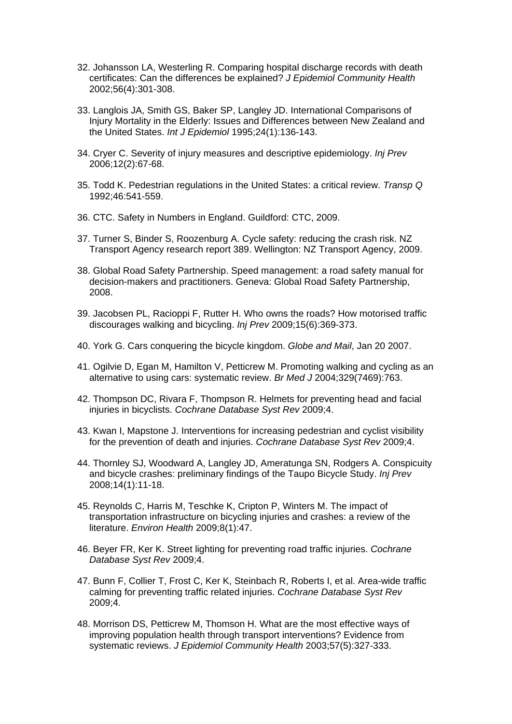- 32. Johansson LA, Westerling R. Comparing hospital discharge records with death certificates: Can the differences be explained? *J Epidemiol Community Health* 2002;56(4):301-308.
- 33. Langlois JA, Smith GS, Baker SP, Langley JD. International Comparisons of Injury Mortality in the Elderly: Issues and Differences between New Zealand and the United States. *Int J Epidemiol* 1995;24(1):136-143.
- 34. Cryer C. Severity of injury measures and descriptive epidemiology. *Inj Prev* 2006;12(2):67-68.
- 35. Todd K. Pedestrian regulations in the United States: a critical review. *Transp Q* 1992;46:541-559.
- 36. CTC. Safety in Numbers in England. Guildford: CTC, 2009.
- 37. Turner S, Binder S, Roozenburg A. Cycle safety: reducing the crash risk. NZ Transport Agency research report 389. Wellington: NZ Transport Agency, 2009.
- 38. Global Road Safety Partnership. Speed management: a road safety manual for decision-makers and practitioners. Geneva: Global Road Safety Partnership, 2008.
- 39. Jacobsen PL, Racioppi F, Rutter H. Who owns the roads? How motorised traffic discourages walking and bicycling. *Inj Prev* 2009;15(6):369-373.
- 40. York G. Cars conquering the bicycle kingdom. *Globe and Mail*, Jan 20 2007.
- 41. Ogilvie D, Egan M, Hamilton V, Petticrew M. Promoting walking and cycling as an alternative to using cars: systematic review. *Br Med J* 2004;329(7469):763.
- 42. Thompson DC, Rivara F, Thompson R. Helmets for preventing head and facial injuries in bicyclists. *Cochrane Database Syst Rev* 2009;4.
- 43. Kwan I, Mapstone J. Interventions for increasing pedestrian and cyclist visibility for the prevention of death and injuries. *Cochrane Database Syst Rev* 2009;4.
- 44. Thornley SJ, Woodward A, Langley JD, Ameratunga SN, Rodgers A. Conspicuity and bicycle crashes: preliminary findings of the Taupo Bicycle Study. *Inj Prev* 2008;14(1):11-18.
- 45. Reynolds C, Harris M, Teschke K, Cripton P, Winters M. The impact of transportation infrastructure on bicycling injuries and crashes: a review of the literature. *Environ Health* 2009;8(1):47.
- 46. Beyer FR, Ker K. Street lighting for preventing road traffic injuries. *Cochrane Database Syst Rev* 2009;4.
- 47. Bunn F, Collier T, Frost C, Ker K, Steinbach R, Roberts I, et al. Area-wide traffic calming for preventing traffic related injuries. *Cochrane Database Syst Rev* 2009;4.
- 48. Morrison DS, Petticrew M, Thomson H. What are the most effective ways of improving population health through transport interventions? Evidence from systematic reviews. *J Epidemiol Community Health* 2003;57(5):327-333.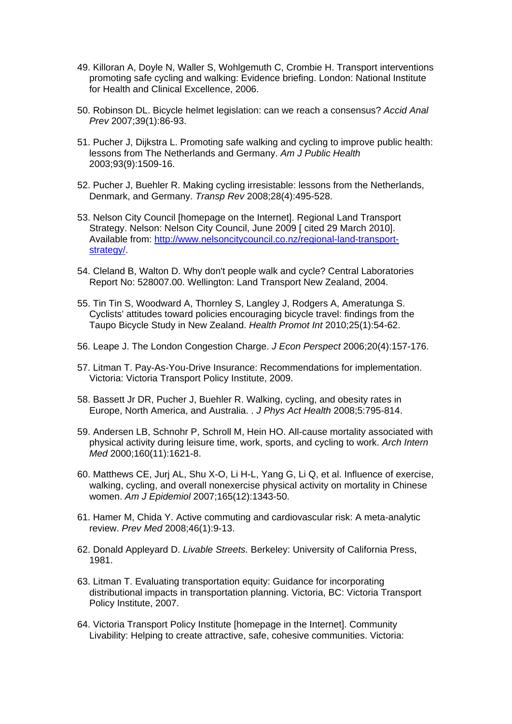- 49. Killoran A, Doyle N, Waller S, Wohlgemuth C, Crombie H. Transport interventions promoting safe cycling and walking: Evidence briefing. London: National Institute for Health and Clinical Excellence, 2006.
- 50. Robinson DL. Bicycle helmet legislation: can we reach a consensus? *Accid Anal Prev* 2007;39(1):86-93.
- 51. Pucher J, Dijkstra L. Promoting safe walking and cycling to improve public health: lessons from The Netherlands and Germany. *Am J Public Health* 2003;93(9):1509-16.
- 52. Pucher J, Buehler R. Making cycling irresistable: lessons from the Netherlands, Denmark, and Germany. *Transp Rev* 2008;28(4):495-528.
- 53. Nelson City Council [homepage on the Internet]. Regional Land Transport Strategy. Nelson: Nelson City Council, June 2009 [ cited 29 March 2010]. Available from: [http://www.nelsoncitycouncil.co.nz/regional-land-transport](http://www.nelsoncitycouncil.co.nz/regional-land-transport-strategy/)[strategy/](http://www.nelsoncitycouncil.co.nz/regional-land-transport-strategy/)
- 54. Cleland B, Walton D. Why don't people walk and cycle? Central Laboratories Report No: 528007.00. Wellington: Land Transport New Zealand, 2004.
- 55. Tin Tin S, Woodward A, Thornley S, Langley J, Rodgers A, Ameratunga S. Cyclists' attitudes toward policies encouraging bicycle travel: findings from the Taupo Bicycle Study in New Zealand. *Health Promot Int* 2010;25(1):54-62.
- 56. Leape J. The London Congestion Charge. *J Econ Perspect* 2006;20(4):157-176.
- 57. Litman T. Pay-As-You-Drive Insurance: Recommendations for implementation. Victoria: Victoria Transport Policy Institute, 2009.
- 58. Bassett Jr DR, Pucher J, Buehler R. Walking, cycling, and obesity rates in Europe, North America, and Australia. . *J Phys Act Health* 2008;5:795-814.
- 59. Andersen LB, Schnohr P, Schroll M, Hein HO. All-cause mortality associated with physical activity during leisure time, work, sports, and cycling to work. *Arch Intern Med* 2000;160(11):1621-8.
- 60. Matthews CE, Jurj AL, Shu X-O, Li H-L, Yang G, Li Q, et al. Influence of exercise, walking, cycling, and overall nonexercise physical activity on mortality in Chinese women. *Am J Epidemiol* 2007;165(12):1343-50.
- 61. Hamer M, Chida Y. Active commuting and cardiovascular risk: A meta-analytic review. *Prev Med* 2008;46(1):9-13.
- 62. Donald Appleyard D. *Livable Streets.* Berkeley: University of California Press, 1981.
- 63. Litman T. Evaluating transportation equity: Guidance for incorporating distributional impacts in transportation planning. Victoria, BC: Victoria Transport Policy Institute, 2007.
- 64. Victoria Transport Policy Institute [homepage in the Internet]. Community Livability: Helping to create attractive, safe, cohesive communities. Victoria: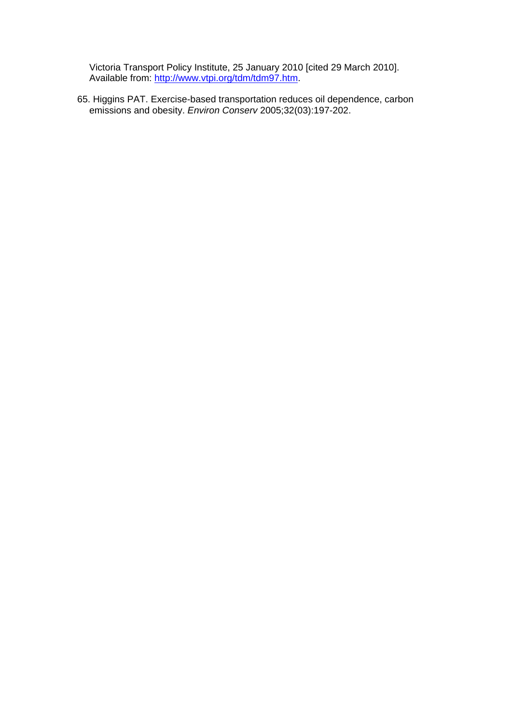Victoria Transport Policy Institute, 25 January 2010 [cited 29 March 2010]. Available from: [http://www.vtpi.org/tdm/tdm97.htm.](http://www.vtpi.org/tdm/tdm97.htm)

65. Higgins PAT. Exercise-based transportation reduces oil dependence, carbon emissions and obesity. *Environ Conserv* 2005;32(03):197-202.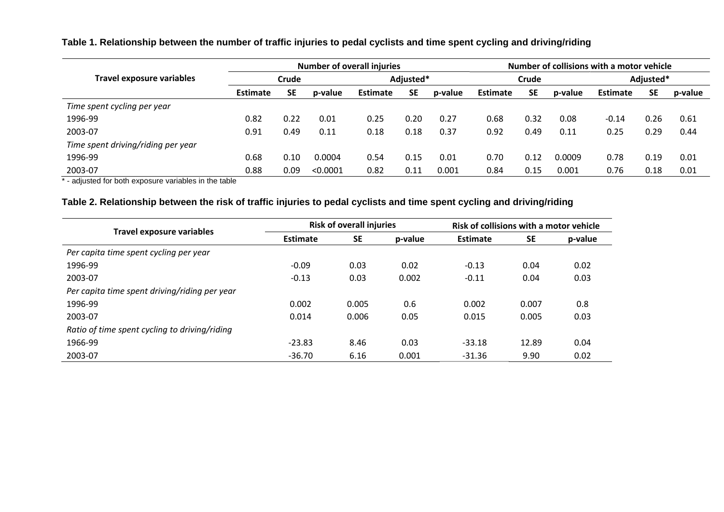#### **Table 1. Relationship between the number of traffic injuries to pedal cyclists and time spent cycling and driving/riding**

|                                    | <b>Number of overall injuries</b> |           |          |                 |           |         | Number of collisions with a motor vehicle |           |         |                 |           |         |
|------------------------------------|-----------------------------------|-----------|----------|-----------------|-----------|---------|-------------------------------------------|-----------|---------|-----------------|-----------|---------|
| Travel exposure variables          | Crude                             |           |          | Adjusted*       |           |         | Crude                                     |           |         | Adjusted*       |           |         |
|                                    | <b>Estimate</b>                   | <b>SE</b> | p-value  | <b>Estimate</b> | <b>SE</b> | p-value | <b>Estimate</b>                           | <b>SE</b> | p-value | <b>Estimate</b> | <b>SE</b> | p-value |
| Time spent cycling per year        |                                   |           |          |                 |           |         |                                           |           |         |                 |           |         |
| 1996-99                            | 0.82                              | 0.22      | 0.01     | 0.25            | 0.20      | 0.27    | 0.68                                      | 0.32      | 0.08    | $-0.14$         | 0.26      | 0.61    |
| 2003-07                            | 0.91                              | 0.49      | 0.11     | 0.18            | 0.18      | 0.37    | 0.92                                      | 0.49      | 0.11    | 0.25            | 0.29      | 0.44    |
| Time spent driving/riding per year |                                   |           |          |                 |           |         |                                           |           |         |                 |           |         |
| 1996-99                            | 0.68                              | 0.10      | 0.0004   | 0.54            | 0.15      | 0.01    | 0.70                                      | 0.12      | 0.0009  | 0.78            | 0.19      | 0.01    |
| 2003-07                            | 0.88                              | 0.09      | < 0.0001 | 0.82            | 0.11      | 0.001   | 0.84                                      | 0.15      | 0.001   | 0.76            | 0.18      | 0.01    |

\* - adjusted for both exposure variables in the table

#### **Table 2. Relationship between the risk of traffic injuries to pedal cyclists and time spent cycling and driving/riding**

| <b>Travel exposure variables</b>              |                 | <b>Risk of overall injuries</b> |       | Risk of collisions with a motor vehicle |           |         |  |
|-----------------------------------------------|-----------------|---------------------------------|-------|-----------------------------------------|-----------|---------|--|
|                                               | <b>Estimate</b> | <b>SE</b>                       |       | <b>Estimate</b>                         | <b>SE</b> | p-value |  |
| Per capita time spent cycling per year        |                 |                                 |       |                                         |           |         |  |
| 1996-99                                       | $-0.09$         | 0.03                            | 0.02  | $-0.13$                                 | 0.04      | 0.02    |  |
| 2003-07                                       | $-0.13$         | 0.03                            | 0.002 | $-0.11$                                 | 0.04      | 0.03    |  |
| Per capita time spent driving/riding per year |                 |                                 |       |                                         |           |         |  |
| 1996-99                                       | 0.002           | 0.005                           | 0.6   | 0.002                                   | 0.007     | 0.8     |  |
| 2003-07                                       | 0.014           | 0.006                           | 0.05  | 0.015                                   | 0.005     | 0.03    |  |
| Ratio of time spent cycling to driving/riding |                 |                                 |       |                                         |           |         |  |
| 1966-99                                       | $-23.83$        | 8.46                            | 0.03  | $-33.18$                                | 12.89     | 0.04    |  |
| 2003-07                                       | $-36.70$        | 6.16                            | 0.001 | $-31.36$                                | 9.90      | 0.02    |  |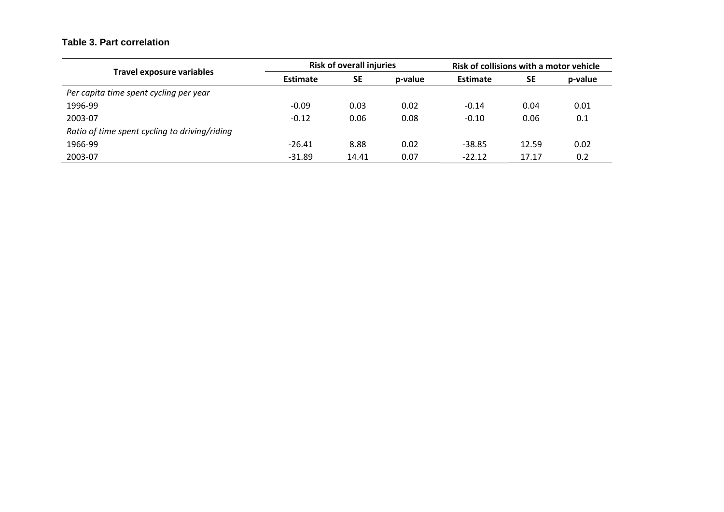#### **Table 3. Part correlation**

| Travel exposure variables                     |                              | <b>Risk of overall injuries</b> |         | Risk of collisions with a motor vehicle |           |         |  |
|-----------------------------------------------|------------------------------|---------------------------------|---------|-----------------------------------------|-----------|---------|--|
|                                               | <b>SE</b><br><b>Estimate</b> |                                 | p-value | <b>Estimate</b>                         | <b>SE</b> | p-value |  |
| Per capita time spent cycling per year        |                              |                                 |         |                                         |           |         |  |
| 1996-99                                       | $-0.09$                      | 0.03                            | 0.02    | $-0.14$                                 | 0.04      | 0.01    |  |
| 2003-07                                       | $-0.12$                      | 0.06                            | 0.08    | $-0.10$                                 | 0.06      | 0.1     |  |
| Ratio of time spent cycling to driving/riding |                              |                                 |         |                                         |           |         |  |
| 1966-99                                       | $-26.41$                     | 8.88                            | 0.02    | $-38.85$                                | 12.59     | 0.02    |  |
| 2003-07                                       | $-31.89$                     | 14.41                           | 0.07    | $-22.12$                                | 17.17     | 0.2     |  |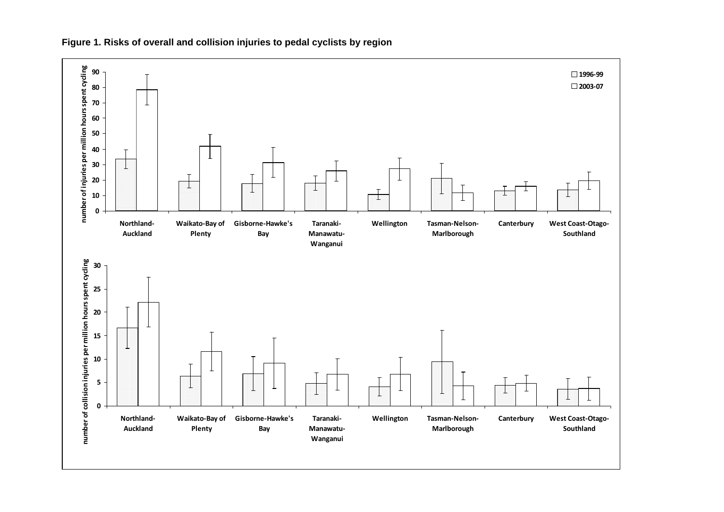

**Figure 1. Risks of overall and collision injuries to pedal cyclists by region**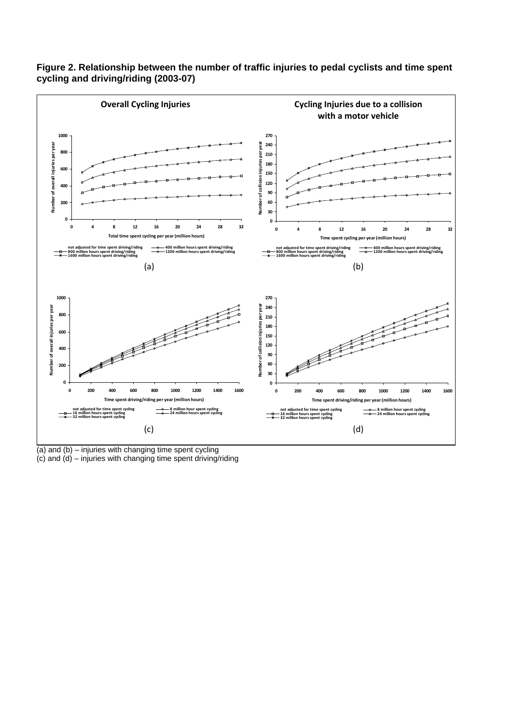

#### **Figure 2. Relationship between the number of traffic injuries to pedal cyclists and time spent cycling and driving/riding (2003-07)**